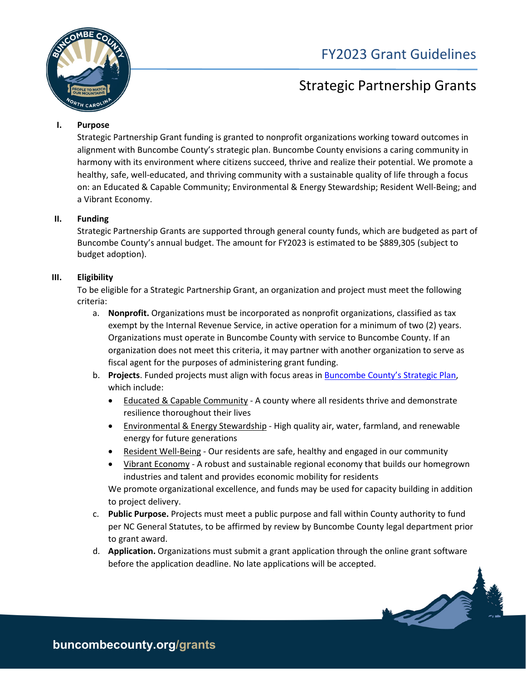

# FY2023 Grant Guidelines

# Strategic Partnership Grants

# **I. Purpose**

Strategic Partnership Grant funding is granted to nonprofit organizations working toward outcomes in alignment with Buncombe County's strategic plan. Buncombe County envisions a caring community in harmony with its environment where citizens succeed, thrive and realize their potential. We promote a healthy, safe, well-educated, and thriving community with a sustainable quality of life through a focus on: an Educated & Capable Community; Environmental & Energy Stewardship; Resident Well-Being; and a Vibrant Economy.

## **II. Funding**

Strategic Partnership Grants are supported through general county funds, which are budgeted as part of Buncombe County's annual budget. The amount for FY2023 is estimated to be \$889,305 (subject to budget adoption).

# **III. Eligibility**

To be eligible for a Strategic Partnership Grant, an organization and project must meet the following criteria:

- a. **Nonprofit.** Organizations must be incorporated as nonprofit organizations, classified as tax exempt by the Internal Revenue Service, in active operation for a minimum of two (2) years. Organizations must operate in Buncombe County with service to Buncombe County. If an organization does not meet this criteria, it may partner with another organization to serve as fiscal agent for the purposes of administering grant funding.
- b. **Projects**. Funded projects must align with focus areas in [Buncombe County's Strategic Plan,](https://www.buncombecounty.org/governing/commissioners/strategic-plan.aspx?redirect=2025) which include:
	- Educated & Capable Community A county where all residents thrive and demonstrate resilience thoroughout their lives
	- Environmental & Energy Stewardship High quality air, water, farmland, and renewable energy for future generations
	- Resident Well-Being Our residents are safe, healthy and engaged in our community
	- Vibrant Economy A robust and sustainable regional economy that builds our homegrown industries and talent and provides economic mobility for residents

We promote organizational excellence, and funds may be used for capacity building in addition to project delivery.

- c. **Public Purpose.** Projects must meet a public purpose and fall within County authority to fund per NC General Statutes, to be affirmed by review by Buncombe County legal department prior to grant award.
- d. **Application.** Organizations must submit a grant application through the online grant software before the application deadline. No late applications will be accepted.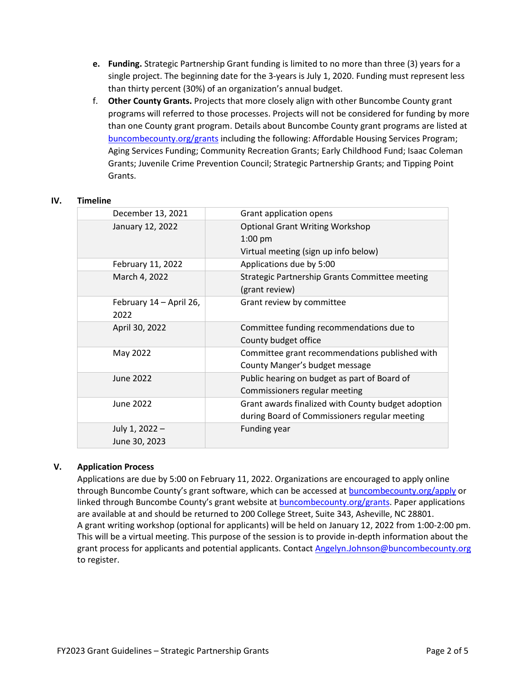- **e. Funding.** Strategic Partnership Grant funding is limited to no more than three (3) years for a single project. The beginning date for the 3-years is July 1, 2020. Funding must represent less than thirty percent (30%) of an organization's annual budget.
- f. **Other County Grants.** Projects that more closely align with other Buncombe County grant programs will referred to those processes. Projects will not be considered for funding by more than one County grant program. Details about Buncombe County grant programs are listed at [buncombecounty.org/grants](http://www.buncombecounty.org/grants) including the following: Affordable Housing Services Program; Aging Services Funding; Community Recreation Grants; Early Childhood Fund; Isaac Coleman Grants; Juvenile Crime Prevention Council; Strategic Partnership Grants; and Tipping Point Grants.

#### **IV. Timeline**

| December 13, 2021       | Grant application opens                            |
|-------------------------|----------------------------------------------------|
| January 12, 2022        | <b>Optional Grant Writing Workshop</b>             |
|                         | $1:00$ pm                                          |
|                         | Virtual meeting (sign up info below)               |
| February 11, 2022       | Applications due by 5:00                           |
| March 4, 2022           | Strategic Partnership Grants Committee meeting     |
|                         | (grant review)                                     |
| February 14 - April 26, | Grant review by committee                          |
| 2022                    |                                                    |
| April 30, 2022          | Committee funding recommendations due to           |
|                         | County budget office                               |
| May 2022                | Committee grant recommendations published with     |
|                         | County Manger's budget message                     |
| June 2022               | Public hearing on budget as part of Board of       |
|                         | Commissioners regular meeting                      |
| June 2022               | Grant awards finalized with County budget adoption |
|                         | during Board of Commissioners regular meeting      |
| July 1, 2022 -          | <b>Funding year</b>                                |
| June 30, 2023           |                                                    |
|                         |                                                    |

# **V. Application Process**

Applications are due by 5:00 on February 11, 2022. Organizations are encouraged to apply online through Buncombe County's grant software, which can be accessed at **buncombecounty.org/apply** or linked through Buncombe County's grant website at [buncombecounty.org/grants.](http://www.buncombecounty.org/grants) Paper applications are available at and should be returned to 200 College Street, Suite 343, Asheville, NC 28801. A grant writing workshop (optional for applicants) will be held on January 12, 2022 from 1:00-2:00 pm. This will be a virtual meeting. This purpose of the session is to provide in-depth information about the grant process for applicants and potential applicants. Contact [Angelyn.Johnson@buncombecounty.org](mailto:Angelyn.Johnson@buncombecounty.org) to register.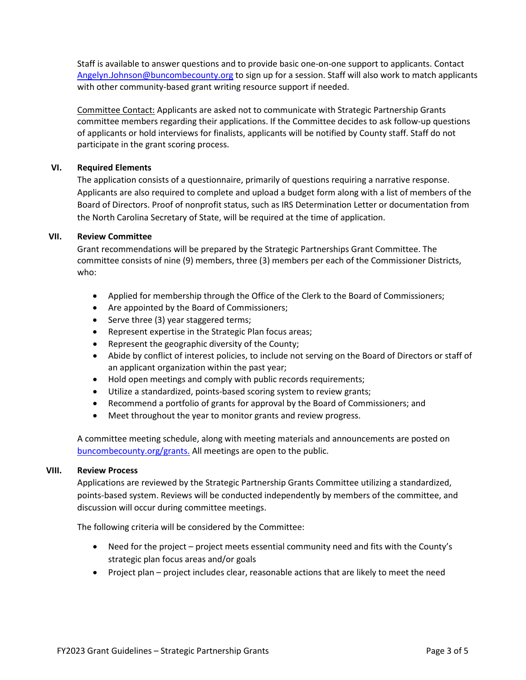Staff is available to answer questions and to provide basic one-on-one support to applicants. Contact [Angelyn.Johnson@buncombecounty.org](mailto:Angelyn.Johnson@buncombecounty.org) to sign up for a session. Staff will also work to match applicants with other community-based grant writing resource support if needed.

Committee Contact: Applicants are asked not to communicate with Strategic Partnership Grants committee members regarding their applications. If the Committee decides to ask follow-up questions of applicants or hold interviews for finalists, applicants will be notified by County staff. Staff do not participate in the grant scoring process.

## **VI. Required Elements**

The application consists of a questionnaire, primarily of questions requiring a narrative response. Applicants are also required to complete and upload a budget form along with a list of members of the Board of Directors. Proof of nonprofit status, such as IRS Determination Letter or documentation from the North Carolina Secretary of State, will be required at the time of application.

### **VII. Review Committee**

Grant recommendations will be prepared by the Strategic Partnerships Grant Committee. The committee consists of nine (9) members, three (3) members per each of the Commissioner Districts, who:

- Applied for membership through the Office of the Clerk to the Board of Commissioners;
- Are appointed by the Board of Commissioners;
- Serve three (3) year staggered terms;
- Represent expertise in the Strategic Plan focus areas;
- Represent the geographic diversity of the County;
- Abide by conflict of interest policies, to include not serving on the Board of Directors or staff of an applicant organization within the past year;
- Hold open meetings and comply with public records requirements;
- Utilize a standardized, points-based scoring system to review grants;
- Recommend a portfolio of grants for approval by the Board of Commissioners; and
- Meet throughout the year to monitor grants and review progress.

A committee meeting schedule, along with meeting materials and announcements are posted on [buncombecounty.org/grants.](http://www.buncombecounty.org/grants) All meetings are open to the public.

### **VIII. Review Process**

Applications are reviewed by the Strategic Partnership Grants Committee utilizing a standardized, points-based system. Reviews will be conducted independently by members of the committee, and discussion will occur during committee meetings.

The following criteria will be considered by the Committee:

- Need for the project project meets essential community need and fits with the County's strategic plan focus areas and/or goals
- Project plan project includes clear, reasonable actions that are likely to meet the need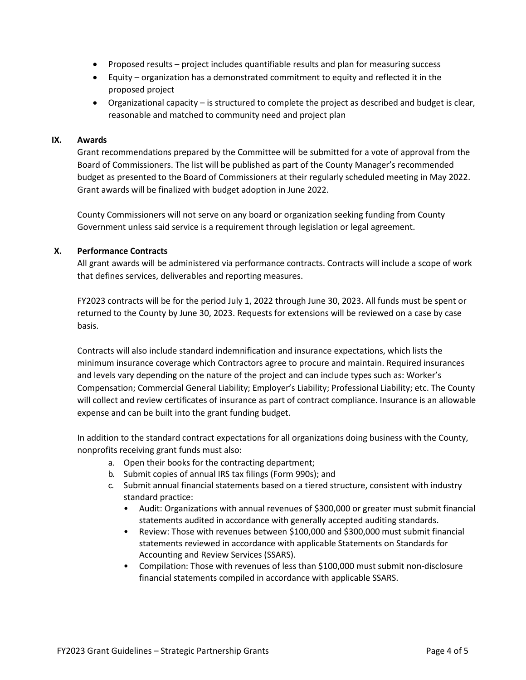- Proposed results project includes quantifiable results and plan for measuring success
- Equity organization has a demonstrated commitment to equity and reflected it in the proposed project
- Organizational capacity is structured to complete the project as described and budget is clear, reasonable and matched to community need and project plan

### **IX. Awards**

Grant recommendations prepared by the Committee will be submitted for a vote of approval from the Board of Commissioners. The list will be published as part of the County Manager's recommended budget as presented to the Board of Commissioners at their regularly scheduled meeting in May 2022. Grant awards will be finalized with budget adoption in June 2022.

County Commissioners will not serve on any board or organization seeking funding from County Government unless said service is a requirement through legislation or legal agreement.

## **X. Performance Contracts**

All grant awards will be administered via performance contracts. Contracts will include a scope of work that defines services, deliverables and reporting measures.

FY2023 contracts will be for the period July 1, 2022 through June 30, 2023. All funds must be spent or returned to the County by June 30, 2023. Requests for extensions will be reviewed on a case by case basis.

Contracts will also include standard indemnification and insurance expectations, which lists the minimum insurance coverage which Contractors agree to procure and maintain. Required insurances and levels vary depending on the nature of the project and can include types such as: Worker's Compensation; Commercial General Liability; Employer's Liability; Professional Liability; etc. The County will collect and review certificates of insurance as part of contract compliance. Insurance is an allowable expense and can be built into the grant funding budget.

In addition to the standard contract expectations for all organizations doing business with the County, nonprofits receiving grant funds must also:

- a. Open their books for the contracting department;
- b. Submit copies of annual IRS tax filings (Form 990s); and
- c. Submit annual financial statements based on a tiered structure, consistent with industry standard practice:
	- Audit: Organizations with annual revenues of \$300,000 or greater must submit financial statements audited in accordance with generally accepted auditing standards.
	- Review: Those with revenues between \$100,000 and \$300,000 must submit financial statements reviewed in accordance with applicable Statements on Standards for Accounting and Review Services (SSARS).
	- Compilation: Those with revenues of less than \$100,000 must submit non-disclosure financial statements compiled in accordance with applicable SSARS.